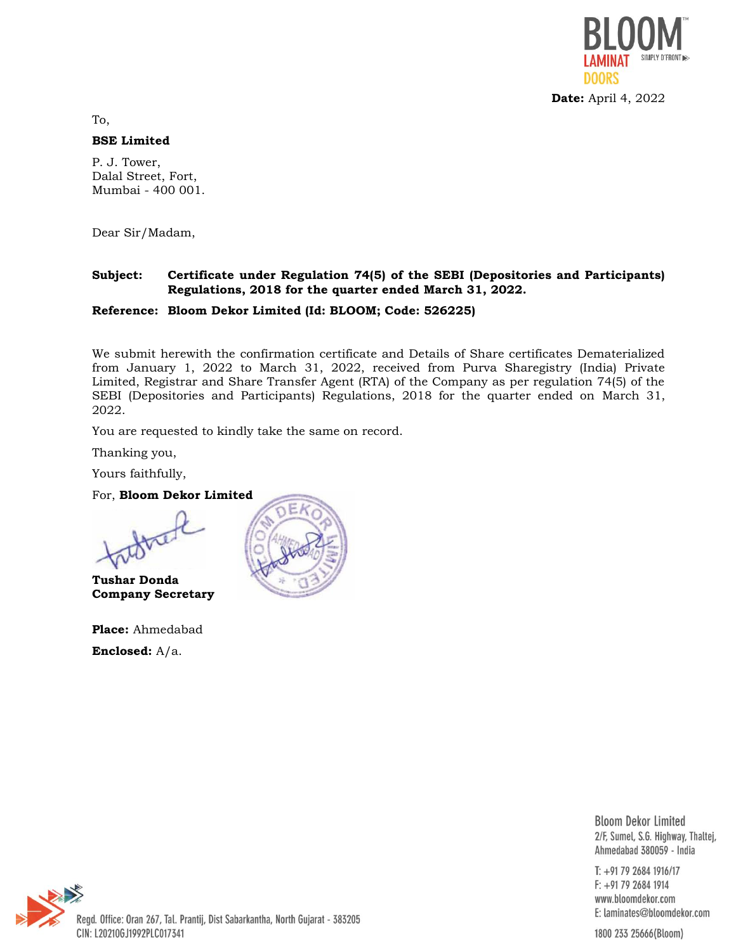

To,

#### **BSE Limited**

P. J. Tower, Dalal Street, Fort, Mumbai - 400 001.

Dear Sir/Madam,

### **Subject: Certificate under Regulation 74(5) of the SEBI (Depositories and Participants) Regulations, 2018 for the quarter ended March 31, 2022.**

#### **Reference: Bloom Dekor Limited (Id: BLOOM; Code: 526225)**

We submit herewith the confirmation certificate and Details of Share certificates Dematerialized from January 1, 2022 to March 31, 2022, received from Purva Sharegistry (India) Private Limited, Registrar and Share Transfer Agent (RTA) of the Company as per regulation 74(5) of the SEBI (Depositories and Participants) Regulations, 2018 for the quarter ended on March 31, 2022.

You are requested to kindly take the same on record.

Thanking you,

Yours faithfully,

For, **Bloom Dekor Limited**



**Tushar Donda Company Secretary**

**Place:** Ahmedabad **Enclosed:** A/a.



**Bloom Dekor Limited** 2/F, Sumel, S.G. Highway, Thaltej, Ahmedabad 380059 - India

 $T: +917926841916/17$  $F: +917926841914$ www.bloomdekor.com E: laminates@bloomdekor.com

Regd. Office: Oran 267, Tal. Prantij, Dist Sabarkantha, North Gujarat - 383205 CIN: L20210GJ1992PLC017341

1800 233 25666(Bloom)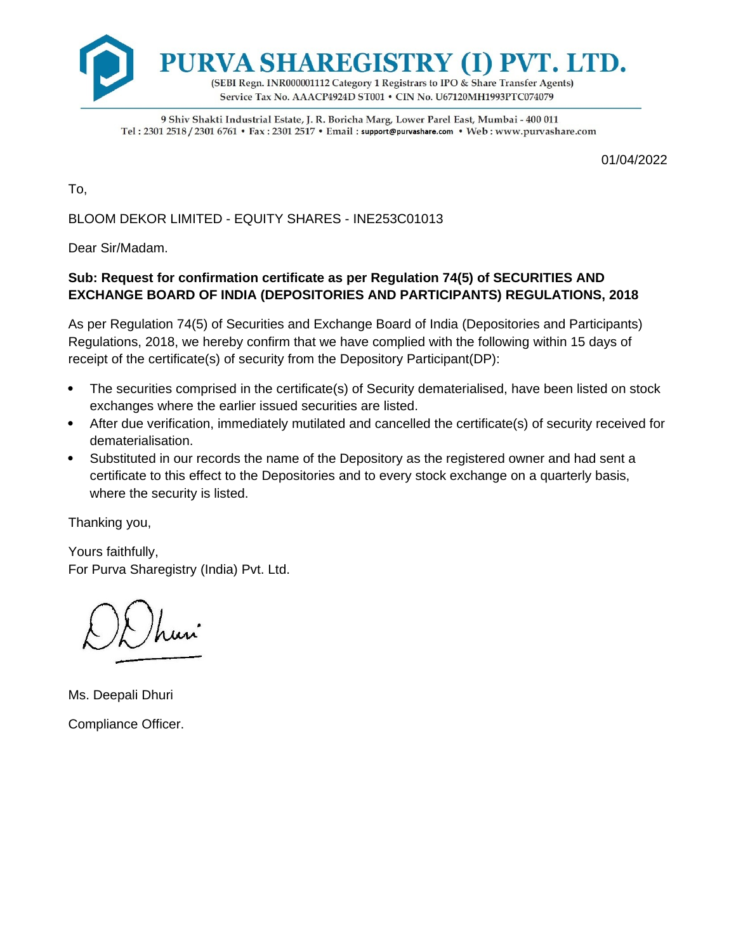

9 Shiv Shakti Industrial Estate, J. R. Boricha Marg, Lower Parel East, Mumbai - 400 011 Tel: 2301 2518 / 2301 6761 • Fax: 2301 2517 • Email: support@purvashare.com • Web: www.purvashare.com

01/04/2022

To,

BLOOM DEKOR LIMITED - EQUITY SHARES - INE253C01013

Dear Sir/Madam.

## **Sub: Request for confirmation certificate as per Regulation 74(5) of SECURITIES AND EXCHANGE BOARD OF INDIA (DEPOSITORIES AND PARTICIPANTS) REGULATIONS, 2018**

As per Regulation 74(5) of Securities and Exchange Board of India (Depositories and Participants) Regulations, 2018, we hereby confirm that we have complied with the following within 15 days of receipt of the certificate(s) of security from the Depository Participant(DP):

- The securities comprised in the certificate(s) of Security dematerialised, have been listed on stock exchanges where the earlier issued securities are listed.
- After due verification, immediately mutilated and cancelled the certificate(s) of security received for dematerialisation.
- Substituted in our records the name of the Depository as the registered owner and had sent a certificate to this effect to the Depositories and to every stock exchange on a quarterly basis, where the security is listed.

Thanking you,

Yours faithfully, For Purva Sharegistry (India) Pvt. Ltd.

Ms. Deepali Dhuri Compliance Officer.